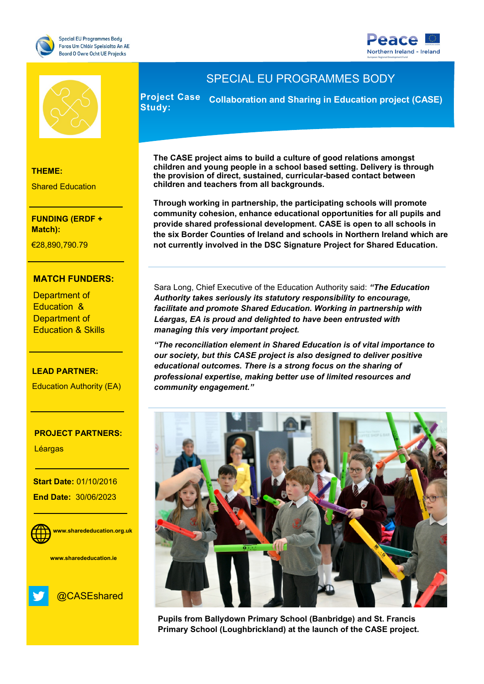





**THEME:**

Shared Education

**Match): FUNDING (ERDF +** 

Research and Innovation €28,890,790.79

### **MATCH FUNDERS:**

Health & Life Sciences

Education & Education & Skills Department of Department of

# **LEAD PARTNER:**

Education Authority (EA)

#### of Scotland **PROJECT PARTNERS:**

- The South West

**Léargas** 

**Start Date: 01/10/2016 End Date:** 30/06/2023

**WEBSITE:**



 **www.sharededucation.ie**



# SPECIAL EU PROGRAMMES BODY

**Project Case Collaboration and Sharing in Education project (CASE) Study:** 

**The CASE project aims to build a culture of good relations amongst children and young people in a school based setting. Delivery is through the provision of direct, sustained, curricular-based contact between children and teachers from all backgrounds.**

**Through working in partnership, the participating schools will promote community cohesion, enhance educational opportunities for all pupils and provide shared professional development. CASE is open to all schools in the six Border Counties of Ireland and schools in Northern Ireland which are not currently involved in the DSC Signature Project for Shared Education.** 

Sara Long, Chief Executive of the Education Authority said: *"The Education Authority takes seriously its statutory responsibility to encourage, facilitate and promote Shared Education. Working in partnership with Léargas, EA is proud and delighted to have been entrusted with managing this very important project.* 

*"The reconciliation element in Shared Education is of vital importance to our society, but this CASE project is also designed to deliver positive educational outcomes. There is a strong focus on the sharing of professional expertise, making better use of limited resources and community engagement."* 



**Pupils from Ballydown Primary School (Banbridge) and St. Francis Primary School (Loughbrickland) at the launch of the CASE project.**